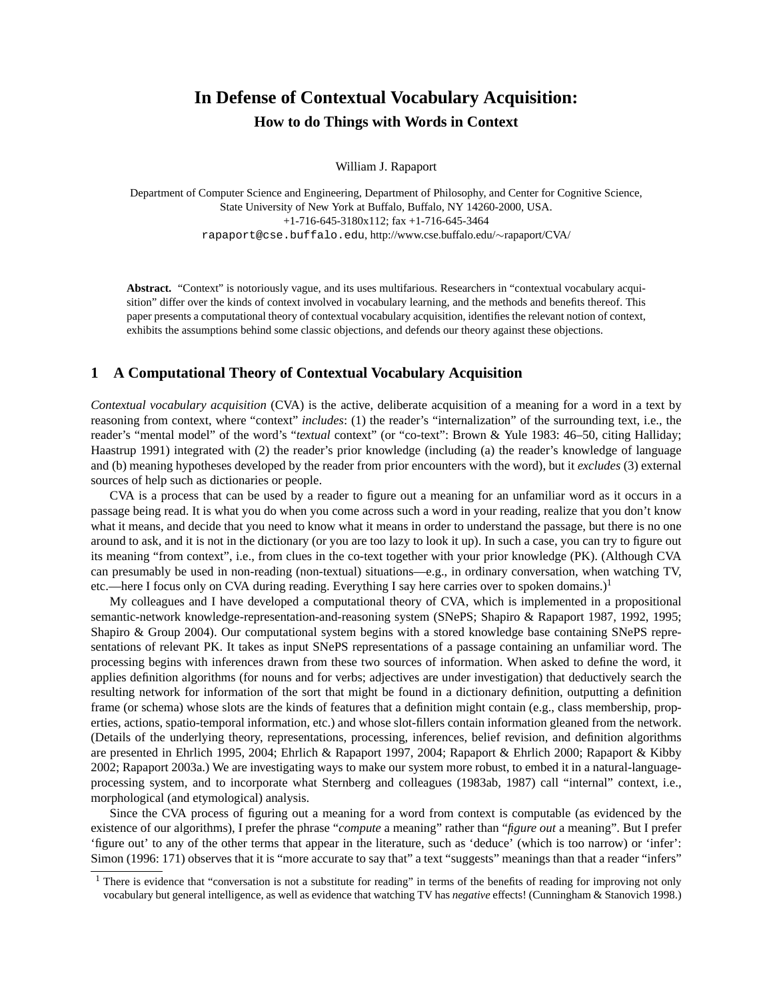# **In Defense of Contextual Vocabulary Acquisition: How to do Things with Words in Context**

William J. Rapaport

Department of Computer Science and Engineering, Department of Philosophy, and Center for Cognitive Science, State University of New York at Buffalo, Buffalo, NY 14260-2000, USA. +1-716-645-3180x112; fax +1-716-645-3464 rapaport@cse.buffalo.edu, http://www.cse.buffalo.edu/∼rapaport/CVA/

**Abstract.** "Context" is notoriously vague, and its uses multifarious. Researchers in "contextual vocabulary acquisition" differ over the kinds of context involved in vocabulary learning, and the methods and benefits thereof. This paper presents a computational theory of contextual vocabulary acquisition, identifies the relevant notion of context, exhibits the assumptions behind some classic objections, and defends our theory against these objections.

## **1 A Computational Theory of Contextual Vocabulary Acquisition**

*Contextual vocabulary acquisition* (CVA) is the active, deliberate acquisition of a meaning for a word in a text by reasoning from context, where "context" *includes*: (1) the reader's "internalization" of the surrounding text, i.e., the reader's "mental model" of the word's "*textual* context" (or "co-text": Brown & Yule 1983: 46–50, citing Halliday; Haastrup 1991) integrated with (2) the reader's prior knowledge (including (a) the reader's knowledge of language and (b) meaning hypotheses developed by the reader from prior encounters with the word), but it *excludes* (3) external sources of help such as dictionaries or people.

CVA is a process that can be used by a reader to figure out a meaning for an unfamiliar word as it occurs in a passage being read. It is what you do when you come across such a word in your reading, realize that you don't know what it means, and decide that you need to know what it means in order to understand the passage, but there is no one around to ask, and it is not in the dictionary (or you are too lazy to look it up). In such a case, you can try to figure out its meaning "from context", i.e., from clues in the co-text together with your prior knowledge (PK). (Although CVA can presumably be used in non-reading (non-textual) situations—e.g., in ordinary conversation, when watching TV, etc.—here I focus only on CVA during reading. Everything I say here carries over to spoken domains.)<sup>1</sup>

My colleagues and I have developed a computational theory of CVA, which is implemented in a propositional semantic-network knowledge-representation-and-reasoning system (SNePS; Shapiro & Rapaport 1987, 1992, 1995; Shapiro & Group 2004). Our computational system begins with a stored knowledge base containing SNePS representations of relevant PK. It takes as input SNePS representations of a passage containing an unfamiliar word. The processing begins with inferences drawn from these two sources of information. When asked to define the word, it applies definition algorithms (for nouns and for verbs; adjectives are under investigation) that deductively search the resulting network for information of the sort that might be found in a dictionary definition, outputting a definition frame (or schema) whose slots are the kinds of features that a definition might contain (e.g., class membership, properties, actions, spatio-temporal information, etc.) and whose slot-fillers contain information gleaned from the network. (Details of the underlying theory, representations, processing, inferences, belief revision, and definition algorithms are presented in Ehrlich 1995, 2004; Ehrlich & Rapaport 1997, 2004; Rapaport & Ehrlich 2000; Rapaport & Kibby 2002; Rapaport 2003a.) We are investigating ways to make our system more robust, to embed it in a natural-languageprocessing system, and to incorporate what Sternberg and colleagues (1983ab, 1987) call "internal" context, i.e., morphological (and etymological) analysis.

Since the CVA process of figuring out a meaning for a word from context is computable (as evidenced by the existence of our algorithms), I prefer the phrase "*compute* a meaning" rather than "*figure out* a meaning". But I prefer 'figure out' to any of the other terms that appear in the literature, such as 'deduce' (which is too narrow) or 'infer': Simon (1996: 171) observes that it is "more accurate to say that" a text "suggests" meanings than that a reader "infers"

<sup>&</sup>lt;sup>1</sup> There is evidence that "conversation is not a substitute for reading" in terms of the benefits of reading for improving not only vocabulary but general intelligence, as well as evidence that watching TV has *negative* effects! (Cunningham & Stanovich 1998.)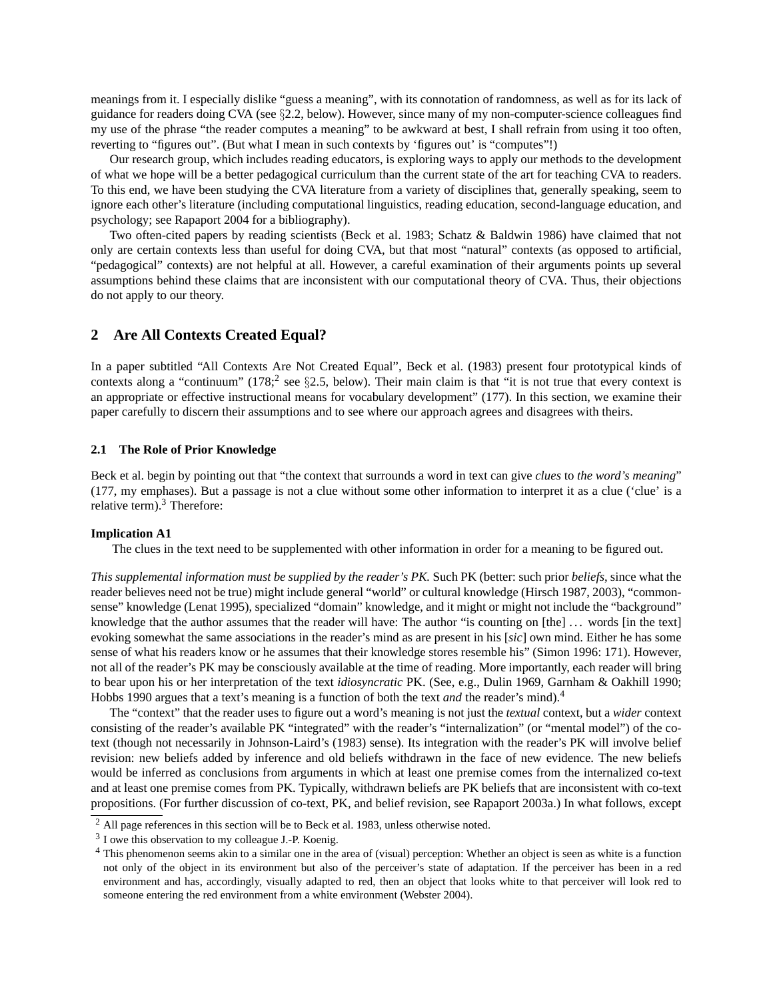meanings from it. I especially dislike "guess a meaning", with its connotation of randomness, as well as for its lack of guidance for readers doing CVA (see §2.2, below). However, since many of my non-computer-science colleagues find my use of the phrase "the reader computes a meaning" to be awkward at best, I shall refrain from using it too often, reverting to "figures out". (But what I mean in such contexts by 'figures out' is "computes"!)

Our research group, which includes reading educators, is exploring ways to apply our methods to the development of what we hope will be a better pedagogical curriculum than the current state of the art for teaching CVA to readers. To this end, we have been studying the CVA literature from a variety of disciplines that, generally speaking, seem to ignore each other's literature (including computational linguistics, reading education, second-language education, and psychology; see Rapaport 2004 for a bibliography).

Two often-cited papers by reading scientists (Beck et al. 1983; Schatz & Baldwin 1986) have claimed that not only are certain contexts less than useful for doing CVA, but that most "natural" contexts (as opposed to artificial, "pedagogical" contexts) are not helpful at all. However, a careful examination of their arguments points up several assumptions behind these claims that are inconsistent with our computational theory of CVA. Thus, their objections do not apply to our theory.

## **2 Are All Contexts Created Equal?**

In a paper subtitled "All Contexts Are Not Created Equal", Beck et al. (1983) present four prototypical kinds of contexts along a "continuum" (178; see  $\S2.5$ , below). Their main claim is that "it is not true that every context is an appropriate or effective instructional means for vocabulary development" (177). In this section, we examine their paper carefully to discern their assumptions and to see where our approach agrees and disagrees with theirs.

### **2.1 The Role of Prior Knowledge**

Beck et al. begin by pointing out that "the context that surrounds a word in text can give *clues* to *the word's meaning*" (177, my emphases). But a passage is not a clue without some other information to interpret it as a clue ('clue' is a relative term).<sup>3</sup> Therefore:

#### **Implication A1**

The clues in the text need to be supplemented with other information in order for a meaning to be figured out.

*This supplemental information must be supplied by the reader's PK.* Such PK (better: such prior *beliefs*, since what the reader believes need not be true) might include general "world" or cultural knowledge (Hirsch 1987, 2003), "commonsense" knowledge (Lenat 1995), specialized "domain" knowledge, and it might or might not include the "background" knowledge that the author assumes that the reader will have: The author "is counting on [the] ... words [in the text] evoking somewhat the same associations in the reader's mind as are present in his [*sic*] own mind. Either he has some sense of what his readers know or he assumes that their knowledge stores resemble his" (Simon 1996: 171). However, not all of the reader's PK may be consciously available at the time of reading. More importantly, each reader will bring to bear upon his or her interpretation of the text *idiosyncratic* PK. (See, e.g., Dulin 1969, Garnham & Oakhill 1990; Hobbs 1990 argues that a text's meaning is a function of both the text *and* the reader's mind).<sup>4</sup>

The "context" that the reader uses to figure out a word's meaning is not just the *textual* context, but a *wider* context consisting of the reader's available PK "integrated" with the reader's "internalization" (or "mental model") of the cotext (though not necessarily in Johnson-Laird's (1983) sense). Its integration with the reader's PK will involve belief revision: new beliefs added by inference and old beliefs withdrawn in the face of new evidence. The new beliefs would be inferred as conclusions from arguments in which at least one premise comes from the internalized co-text and at least one premise comes from PK. Typically, withdrawn beliefs are PK beliefs that are inconsistent with co-text propositions. (For further discussion of co-text, PK, and belief revision, see Rapaport 2003a.) In what follows, except

 $<sup>2</sup>$  All page references in this section will be to Beck et al. 1983, unless otherwise noted.</sup>

<sup>&</sup>lt;sup>3</sup> I owe this observation to my colleague J.-P. Koenig.

<sup>4</sup> This phenomenon seems akin to a similar one in the area of (visual) perception: Whether an object is seen as white is a function not only of the object in its environment but also of the perceiver's state of adaptation. If the perceiver has been in a red environment and has, accordingly, visually adapted to red, then an object that looks white to that perceiver will look red to someone entering the red environment from a white environment (Webster 2004).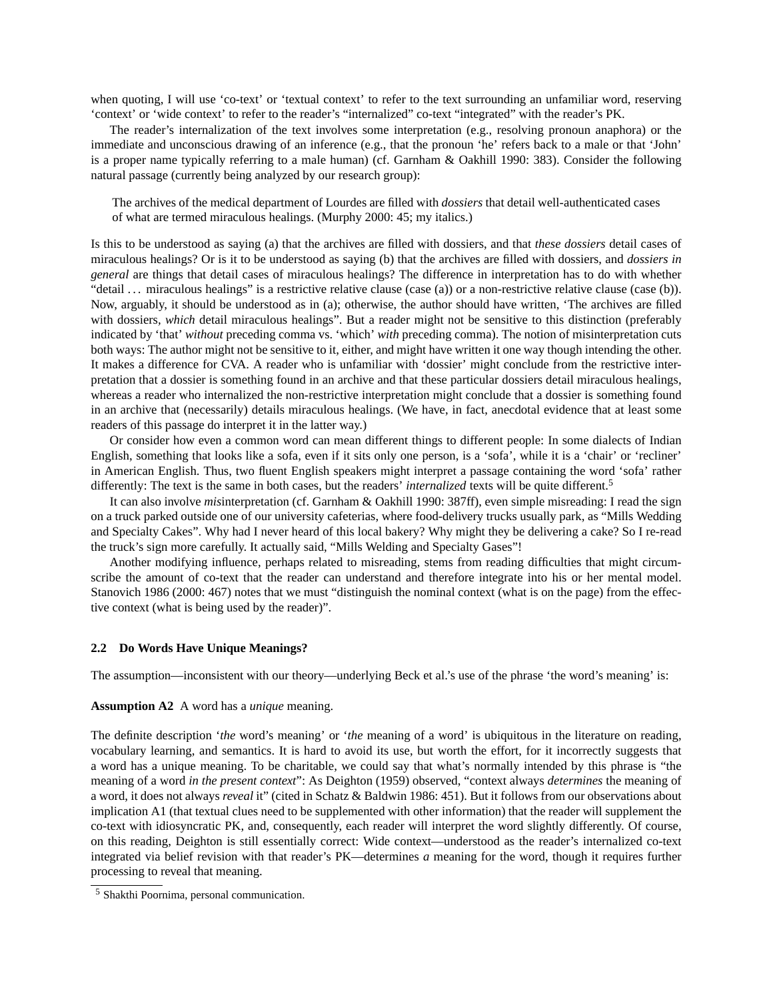when quoting, I will use 'co-text' or 'textual context' to refer to the text surrounding an unfamiliar word, reserving 'context' or 'wide context' to refer to the reader's "internalized" co-text "integrated" with the reader's PK.

The reader's internalization of the text involves some interpretation (e.g., resolving pronoun anaphora) or the immediate and unconscious drawing of an inference (e.g., that the pronoun 'he' refers back to a male or that 'John' is a proper name typically referring to a male human) (cf. Garnham & Oakhill 1990: 383). Consider the following natural passage (currently being analyzed by our research group):

The archives of the medical department of Lourdes are filled with *dossiers* that detail well-authenticated cases of what are termed miraculous healings. (Murphy 2000: 45; my italics.)

Is this to be understood as saying (a) that the archives are filled with dossiers, and that *these dossiers* detail cases of miraculous healings? Or is it to be understood as saying (b) that the archives are filled with dossiers, and *dossiers in general* are things that detail cases of miraculous healings? The difference in interpretation has to do with whether "detail  $\ldots$  miraculous healings" is a restrictive relative clause (case (a)) or a non-restrictive relative clause (case (b)). Now, arguably, it should be understood as in (a); otherwise, the author should have written, 'The archives are filled with dossiers, which detail miraculous healings". But a reader might not be sensitive to this distinction (preferably indicated by 'that' *without* preceding comma vs. 'which' *with* preceding comma). The notion of misinterpretation cuts both ways: The author might not be sensitive to it, either, and might have written it one way though intending the other. It makes a difference for CVA. A reader who is unfamiliar with 'dossier' might conclude from the restrictive interpretation that a dossier is something found in an archive and that these particular dossiers detail miraculous healings, whereas a reader who internalized the non-restrictive interpretation might conclude that a dossier is something found in an archive that (necessarily) details miraculous healings. (We have, in fact, anecdotal evidence that at least some readers of this passage do interpret it in the latter way.)

Or consider how even a common word can mean different things to different people: In some dialects of Indian English, something that looks like a sofa, even if it sits only one person, is a 'sofa', while it is a 'chair' or 'recliner' in American English. Thus, two fluent English speakers might interpret a passage containing the word 'sofa' rather differently: The text is the same in both cases, but the readers' *internalized* texts will be quite different.<sup>5</sup>

It can also involve *mis*interpretation (cf. Garnham & Oakhill 1990: 387ff), even simple misreading: I read the sign on a truck parked outside one of our university cafeterias, where food-delivery trucks usually park, as "Mills Wedding and Specialty Cakes". Why had I never heard of this local bakery? Why might they be delivering a cake? So I re-read the truck's sign more carefully. It actually said, "Mills Welding and Specialty Gases"!

Another modifying influence, perhaps related to misreading, stems from reading difficulties that might circumscribe the amount of co-text that the reader can understand and therefore integrate into his or her mental model. Stanovich 1986 (2000: 467) notes that we must "distinguish the nominal context (what is on the page) from the effective context (what is being used by the reader)".

#### **2.2 Do Words Have Unique Meanings?**

The assumption—inconsistent with our theory—underlying Beck et al.'s use of the phrase 'the word's meaning' is:

#### **Assumption A2** A word has a *unique* meaning.

The definite description '*the* word's meaning' or '*the* meaning of a word' is ubiquitous in the literature on reading, vocabulary learning, and semantics. It is hard to avoid its use, but worth the effort, for it incorrectly suggests that a word has a unique meaning. To be charitable, we could say that what's normally intended by this phrase is "the meaning of a word *in the present context*": As Deighton (1959) observed, "context always *determines* the meaning of a word, it does not always *reveal* it" (cited in Schatz & Baldwin 1986: 451). But it follows from our observations about implication A1 (that textual clues need to be supplemented with other information) that the reader will supplement the co-text with idiosyncratic PK, and, consequently, each reader will interpret the word slightly differently. Of course, on this reading, Deighton is still essentially correct: Wide context—understood as the reader's internalized co-text integrated via belief revision with that reader's PK—determines *a* meaning for the word, though it requires further processing to reveal that meaning.

<sup>5</sup> Shakthi Poornima, personal communication.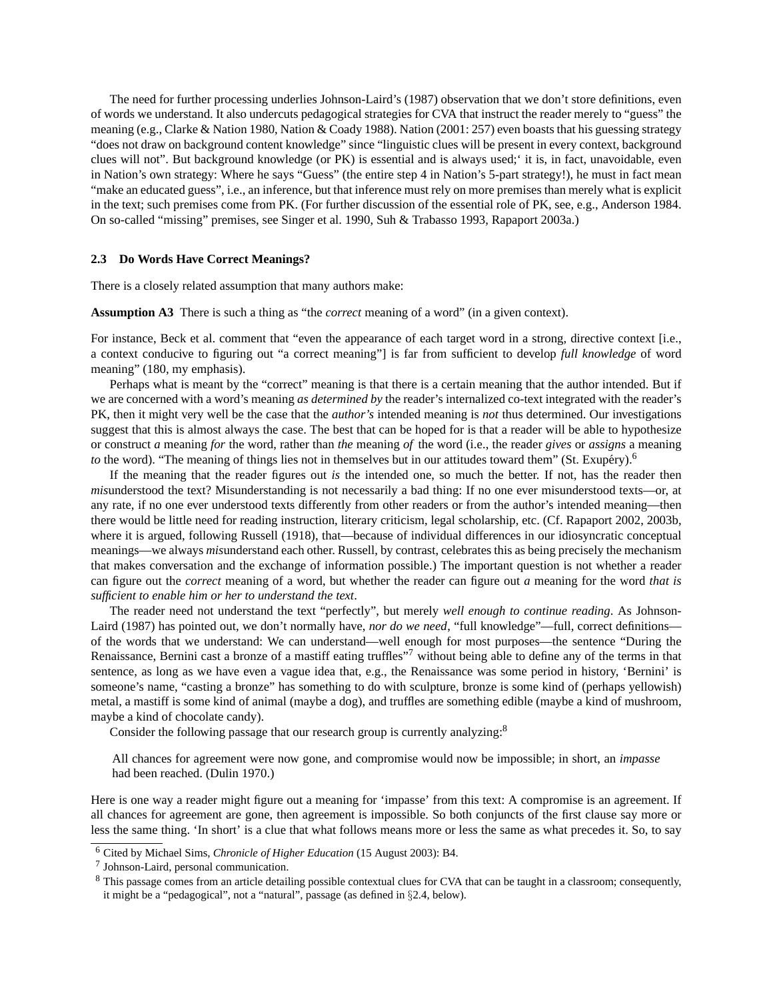The need for further processing underlies Johnson-Laird's (1987) observation that we don't store definitions, even of words we understand. It also undercuts pedagogical strategies for CVA that instruct the reader merely to "guess" the meaning (e.g., Clarke & Nation 1980, Nation & Coady 1988). Nation (2001: 257) even boasts that his guessing strategy "does not draw on background content knowledge" since "linguistic clues will be present in every context, background clues will not". But background knowledge (or PK) is essential and is always used;' it is, in fact, unavoidable, even in Nation's own strategy: Where he says "Guess" (the entire step 4 in Nation's 5-part strategy!), he must in fact mean "make an educated guess", i.e., an inference, but that inference must rely on more premises than merely what is explicit in the text; such premises come from PK. (For further discussion of the essential role of PK, see, e.g., Anderson 1984. On so-called "missing" premises, see Singer et al. 1990, Suh & Trabasso 1993, Rapaport 2003a.)

#### **2.3 Do Words Have Correct Meanings?**

There is a closely related assumption that many authors make:

**Assumption A3** There is such a thing as "the *correct* meaning of a word" (in a given context).

For instance, Beck et al. comment that "even the appearance of each target word in a strong, directive context [i.e., a context conducive to figuring out "a correct meaning"] is far from sufficient to develop *full knowledge* of word meaning" (180, my emphasis).

Perhaps what is meant by the "correct" meaning is that there is a certain meaning that the author intended. But if we are concerned with a word's meaning *as determined by* the reader's internalized co-text integrated with the reader's PK, then it might very well be the case that the *author's* intended meaning is *not* thus determined. Our investigations suggest that this is almost always the case. The best that can be hoped for is that a reader will be able to hypothesize or construct *a* meaning *for* the word, rather than *the* meaning *of* the word (i.e., the reader *gives* or *assigns* a meaning *to* the word). "The meaning of things lies not in themselves but in our attitudes toward them" (St. Exupery).<sup>6</sup>

If the meaning that the reader figures out *is* the intended one, so much the better. If not, has the reader then *mis*understood the text? Misunderstanding is not necessarily a bad thing: If no one ever misunderstood texts—or, at any rate, if no one ever understood texts differently from other readers or from the author's intended meaning—then there would be little need for reading instruction, literary criticism, legal scholarship, etc. (Cf. Rapaport 2002, 2003b, where it is argued, following Russell (1918), that—because of individual differences in our idiosyncratic conceptual meanings—we always *mis*understand each other. Russell, by contrast, celebrates this as being precisely the mechanism that makes conversation and the exchange of information possible.) The important question is not whether a reader can figure out the *correct* meaning of a word, but whether the reader can figure out *a* meaning for the word *that is sufficient to enable him or her to understand the text*.

The reader need not understand the text "perfectly", but merely *well enough to continue reading*. As Johnson-Laird (1987) has pointed out, we don't normally have, *nor do we need*, "full knowledge"—full, correct definitions of the words that we understand: We can understand—well enough for most purposes—the sentence "During the Renaissance, Bernini cast a bronze of a mastiff eating truffles"<sup>7</sup> without being able to define any of the terms in that sentence, as long as we have even a vague idea that, e.g., the Renaissance was some period in history, 'Bernini' is someone's name, "casting a bronze" has something to do with sculpture, bronze is some kind of (perhaps yellowish) metal, a mastiff is some kind of animal (maybe a dog), and truffles are something edible (maybe a kind of mushroom, maybe a kind of chocolate candy).

Consider the following passage that our research group is currently analyzing:<sup>8</sup>

All chances for agreement were now gone, and compromise would now be impossible; in short, an *impasse* had been reached. (Dulin 1970.)

Here is one way a reader might figure out a meaning for 'impasse' from this text: A compromise is an agreement. If all chances for agreement are gone, then agreement is impossible. So both conjuncts of the first clause say more or less the same thing. 'In short' is a clue that what follows means more or less the same as what precedes it. So, to say

<sup>6</sup> Cited by Michael Sims, *Chronicle of Higher Education* (15 August 2003): B4.

<sup>7</sup> Johnson-Laird, personal communication.

<sup>&</sup>lt;sup>8</sup> This passage comes from an article detailing possible contextual clues for CVA that can be taught in a classroom; consequently, it might be a "pedagogical", not a "natural", passage (as defined in §2.4, below).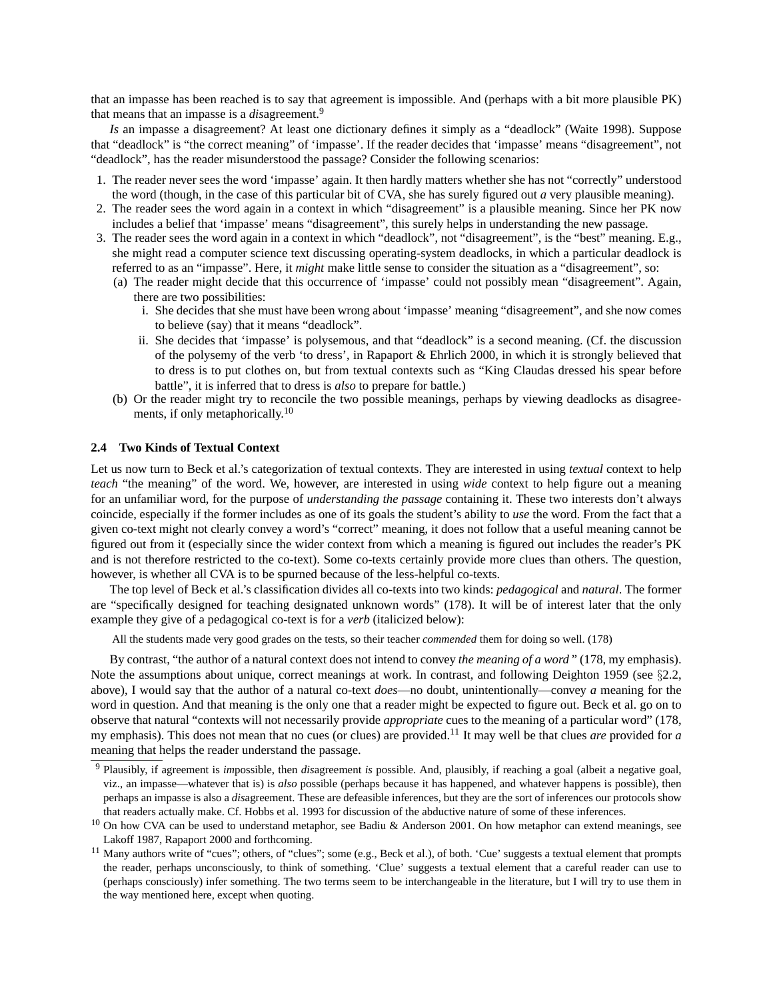that an impasse has been reached is to say that agreement is impossible. And (perhaps with a bit more plausible PK) that means that an impasse is a *dis*agreement.<sup>9</sup>

*Is* an impasse a disagreement? At least one dictionary defines it simply as a "deadlock" (Waite 1998). Suppose that "deadlock" is "the correct meaning" of 'impasse'. If the reader decides that 'impasse' means "disagreement", not "deadlock", has the reader misunderstood the passage? Consider the following scenarios:

- 1. The reader never sees the word 'impasse' again. It then hardly matters whether she has not "correctly" understood the word (though, in the case of this particular bit of CVA, she has surely figured out *a* very plausible meaning).
- 2. The reader sees the word again in a context in which "disagreement" is a plausible meaning. Since her PK now includes a belief that 'impasse' means "disagreement", this surely helps in understanding the new passage.
- 3. The reader sees the word again in a context in which "deadlock", not "disagreement", is the "best" meaning. E.g., she might read a computer science text discussing operating-system deadlocks, in which a particular deadlock is referred to as an "impasse". Here, it *might* make little sense to consider the situation as a "disagreement", so:
	- (a) The reader might decide that this occurrence of 'impasse' could not possibly mean "disagreement". Again, there are two possibilities:
		- i. She decides that she must have been wrong about 'impasse' meaning "disagreement", and she now comes to believe (say) that it means "deadlock".
		- ii. She decides that 'impasse' is polysemous, and that "deadlock" is a second meaning. (Cf. the discussion of the polysemy of the verb 'to dress', in Rapaport & Ehrlich 2000, in which it is strongly believed that to dress is to put clothes on, but from textual contexts such as "King Claudas dressed his spear before battle", it is inferred that to dress is *also* to prepare for battle.)
	- (b) Or the reader might try to reconcile the two possible meanings, perhaps by viewing deadlocks as disagreements, if only metaphorically.<sup>10</sup>

#### **2.4 Two Kinds of Textual Context**

Let us now turn to Beck et al.'s categorization of textual contexts. They are interested in using *textual* context to help *teach* "the meaning" of the word. We, however, are interested in using *wide* context to help figure out a meaning for an unfamiliar word, for the purpose of *understanding the passage* containing it. These two interests don't always coincide, especially if the former includes as one of its goals the student's ability to *use* the word. From the fact that a given co-text might not clearly convey a word's "correct" meaning, it does not follow that a useful meaning cannot be figured out from it (especially since the wider context from which a meaning is figured out includes the reader's PK and is not therefore restricted to the co-text). Some co-texts certainly provide more clues than others. The question, however, is whether all CVA is to be spurned because of the less-helpful co-texts.

The top level of Beck et al.'s classification divides all co-texts into two kinds: *pedagogical* and *natural*. The former are "specifically designed for teaching designated unknown words" (178). It will be of interest later that the only example they give of a pedagogical co-text is for a *verb* (italicized below):

All the students made very good grades on the tests, so their teacher *commended* them for doing so well. (178)

By contrast, "the author of a natural context does not intend to convey *the meaning of a word* " (178, my emphasis). Note the assumptions about unique, correct meanings at work. In contrast, and following Deighton 1959 (see §2.2, above), I would say that the author of a natural co-text *does*—no doubt, unintentionally—convey *a* meaning for the word in question. And that meaning is the only one that a reader might be expected to figure out. Beck et al. go on to observe that natural "contexts will not necessarily provide *appropriate* cues to the meaning of a particular word" (178, my emphasis). This does not mean that no cues (or clues) are provided.<sup>11</sup> It may well be that clues *are* provided for *a* meaning that helps the reader understand the passage.

<sup>9</sup> Plausibly, if agreement is *im*possible, then *dis*agreement *is* possible. And, plausibly, if reaching a goal (albeit a negative goal, viz., an impasse—whatever that is) is *also* possible (perhaps because it has happened, and whatever happens is possible), then perhaps an impasse is also a *dis*agreement. These are defeasible inferences, but they are the sort of inferences our protocols show that readers actually make. Cf. Hobbs et al. 1993 for discussion of the abductive nature of some of these inferences.

 $10$  On how CVA can be used to understand metaphor, see Badiu & Anderson 2001. On how metaphor can extend meanings, see Lakoff 1987, Rapaport 2000 and forthcoming.

<sup>&</sup>lt;sup>11</sup> Many authors write of "cues"; others, of "clues"; some (e.g., Beck et al.), of both. 'Cue' suggests a textual element that prompts the reader, perhaps unconsciously, to think of something. 'Clue' suggests a textual element that a careful reader can use to (perhaps consciously) infer something. The two terms seem to be interchangeable in the literature, but I will try to use them in the way mentioned here, except when quoting.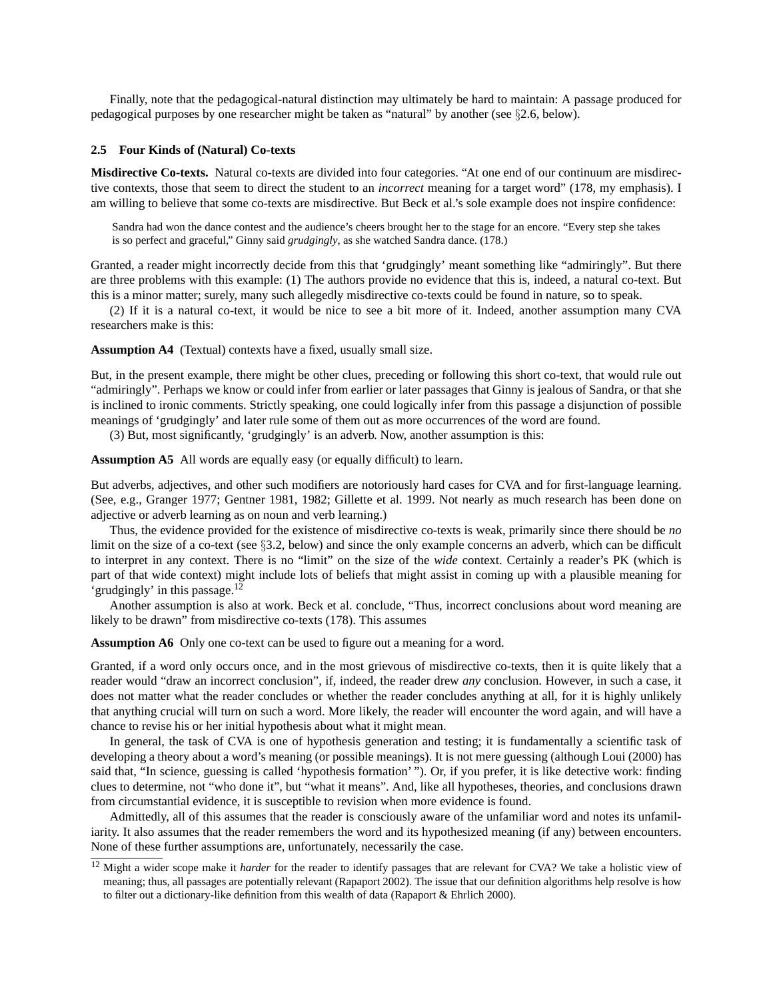Finally, note that the pedagogical-natural distinction may ultimately be hard to maintain: A passage produced for pedagogical purposes by one researcher might be taken as "natural" by another (see  $\S$ 2.6, below).

#### **2.5 Four Kinds of (Natural) Co-texts**

**Misdirective Co-texts.** Natural co-texts are divided into four categories. "At one end of our continuum are misdirective contexts, those that seem to direct the student to an *incorrect* meaning for a target word" (178, my emphasis). I am willing to believe that some co-texts are misdirective. But Beck et al.'s sole example does not inspire confidence:

Sandra had won the dance contest and the audience's cheers brought her to the stage for an encore. "Every step she takes is so perfect and graceful," Ginny said *grudgingly*, as she watched Sandra dance. (178.)

Granted, a reader might incorrectly decide from this that 'grudgingly' meant something like "admiringly". But there are three problems with this example: (1) The authors provide no evidence that this is, indeed, a natural co-text. But this is a minor matter; surely, many such allegedly misdirective co-texts could be found in nature, so to speak.

(2) If it is a natural co-text, it would be nice to see a bit more of it. Indeed, another assumption many CVA researchers make is this:

**Assumption A4** (Textual) contexts have a fixed, usually small size.

But, in the present example, there might be other clues, preceding or following this short co-text, that would rule out "admiringly". Perhaps we know or could infer from earlier or later passages that Ginny is jealous of Sandra, or that she is inclined to ironic comments. Strictly speaking, one could logically infer from this passage a disjunction of possible meanings of 'grudgingly' and later rule some of them out as more occurrences of the word are found.

(3) But, most significantly, 'grudgingly' is an adverb. Now, another assumption is this:

**Assumption A5** All words are equally easy (or equally difficult) to learn.

But adverbs, adjectives, and other such modifiers are notoriously hard cases for CVA and for first-language learning. (See, e.g., Granger 1977; Gentner 1981, 1982; Gillette et al. 1999. Not nearly as much research has been done on adjective or adverb learning as on noun and verb learning.)

Thus, the evidence provided for the existence of misdirective co-texts is weak, primarily since there should be *no* limit on the size of a co-text (see §3.2, below) and since the only example concerns an adverb, which can be difficult to interpret in any context. There is no "limit" on the size of the *wide* context. Certainly a reader's PK (which is part of that wide context) might include lots of beliefs that might assist in coming up with a plausible meaning for 'grudgingly' in this passage. $12$ 

Another assumption is also at work. Beck et al. conclude, "Thus, incorrect conclusions about word meaning are likely to be drawn" from misdirective co-texts (178). This assumes

**Assumption A6** Only one co-text can be used to figure out a meaning for a word.

Granted, if a word only occurs once, and in the most grievous of misdirective co-texts, then it is quite likely that a reader would "draw an incorrect conclusion", if, indeed, the reader drew *any* conclusion. However, in such a case, it does not matter what the reader concludes or whether the reader concludes anything at all, for it is highly unlikely that anything crucial will turn on such a word. More likely, the reader will encounter the word again, and will have a chance to revise his or her initial hypothesis about what it might mean.

In general, the task of CVA is one of hypothesis generation and testing; it is fundamentally a scientific task of developing a theory about a word's meaning (or possible meanings). It is not mere guessing (although Loui (2000) has said that, "In science, guessing is called 'hypothesis formation' "). Or, if you prefer, it is like detective work: finding clues to determine, not "who done it", but "what it means". And, like all hypotheses, theories, and conclusions drawn from circumstantial evidence, it is susceptible to revision when more evidence is found.

Admittedly, all of this assumes that the reader is consciously aware of the unfamiliar word and notes its unfamiliarity. It also assumes that the reader remembers the word and its hypothesized meaning (if any) between encounters. None of these further assumptions are, unfortunately, necessarily the case.

<sup>&</sup>lt;sup>12</sup> Might a wider scope make it *harder* for the reader to identify passages that are relevant for CVA? We take a holistic view of meaning; thus, all passages are potentially relevant (Rapaport 2002). The issue that our definition algorithms help resolve is how to filter out a dictionary-like definition from this wealth of data (Rapaport & Ehrlich 2000).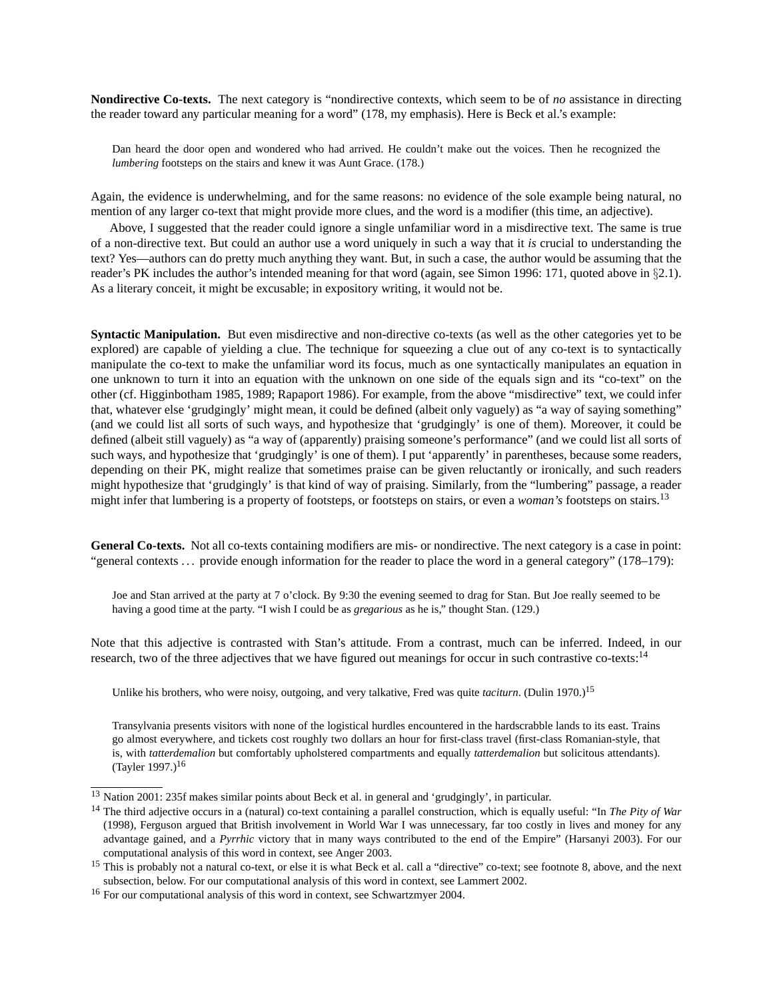**Nondirective Co-texts.** The next category is "nondirective contexts, which seem to be of *no* assistance in directing the reader toward any particular meaning for a word" (178, my emphasis). Here is Beck et al.'s example:

Dan heard the door open and wondered who had arrived. He couldn't make out the voices. Then he recognized the *lumbering* footsteps on the stairs and knew it was Aunt Grace. (178.)

Again, the evidence is underwhelming, and for the same reasons: no evidence of the sole example being natural, no mention of any larger co-text that might provide more clues, and the word is a modifier (this time, an adjective).

Above, I suggested that the reader could ignore a single unfamiliar word in a misdirective text. The same is true of a non-directive text. But could an author use a word uniquely in such a way that it *is* crucial to understanding the text? Yes—authors can do pretty much anything they want. But, in such a case, the author would be assuming that the reader's PK includes the author's intended meaning for that word (again, see Simon 1996: 171, quoted above in §2.1). As a literary conceit, it might be excusable; in expository writing, it would not be.

**Syntactic Manipulation.** But even misdirective and non-directive co-texts (as well as the other categories yet to be explored) are capable of yielding a clue. The technique for squeezing a clue out of any co-text is to syntactically manipulate the co-text to make the unfamiliar word its focus, much as one syntactically manipulates an equation in one unknown to turn it into an equation with the unknown on one side of the equals sign and its "co-text" on the other (cf. Higginbotham 1985, 1989; Rapaport 1986). For example, from the above "misdirective" text, we could infer that, whatever else 'grudgingly' might mean, it could be defined (albeit only vaguely) as "a way of saying something" (and we could list all sorts of such ways, and hypothesize that 'grudgingly' is one of them). Moreover, it could be defined (albeit still vaguely) as "a way of (apparently) praising someone's performance" (and we could list all sorts of such ways, and hypothesize that 'grudgingly' is one of them). I put 'apparently' in parentheses, because some readers, depending on their PK, might realize that sometimes praise can be given reluctantly or ironically, and such readers might hypothesize that 'grudgingly' is that kind of way of praising. Similarly, from the "lumbering" passage, a reader might infer that lumbering is a property of footsteps, or footsteps on stairs, or even a *woman's* footsteps on stairs.<sup>13</sup>

**General Co-texts.** Not all co-texts containing modifiers are mis- or nondirective. The next category is a case in point: "general contexts . . . provide enough information for the reader to place the word in a general category" (178–179):

Joe and Stan arrived at the party at 7 o'clock. By 9:30 the evening seemed to drag for Stan. But Joe really seemed to be having a good time at the party. "I wish I could be as *gregarious* as he is," thought Stan. (129.)

Note that this adjective is contrasted with Stan's attitude. From a contrast, much can be inferred. Indeed, in our research, two of the three adjectives that we have figured out meanings for occur in such contrastive co-texts:<sup>14</sup>

Unlike his brothers, who were noisy, outgoing, and very talkative, Fred was quite *taciturn*. (Dulin 1970.)<sup>15</sup>

Transylvania presents visitors with none of the logistical hurdles encountered in the hardscrabble lands to its east. Trains go almost everywhere, and tickets cost roughly two dollars an hour for first-class travel (first-class Romanian-style, that is, with *tatterdemalion* but comfortably upholstered compartments and equally *tatterdemalion* but solicitous attendants). (Tayler 1997.)<sup>16</sup>

<sup>13</sup> Nation 2001: 235f makes similar points about Beck et al. in general and 'grudgingly', in particular.

<sup>14</sup> The third adjective occurs in a (natural) co-text containing a parallel construction, which is equally useful: "In *The Pity of War* (1998), Ferguson argued that British involvement in World War I was unnecessary, far too costly in lives and money for any advantage gained, and a *Pyrrhic* victory that in many ways contributed to the end of the Empire" (Harsanyi 2003). For our computational analysis of this word in context, see Anger 2003.

<sup>&</sup>lt;sup>15</sup> This is probably not a natural co-text, or else it is what Beck et al. call a "directive" co-text; see footnote 8, above, and the next subsection, below. For our computational analysis of this word in context, see Lammert 2002.

<sup>&</sup>lt;sup>16</sup> For our computational analysis of this word in context, see Schwartzmyer 2004.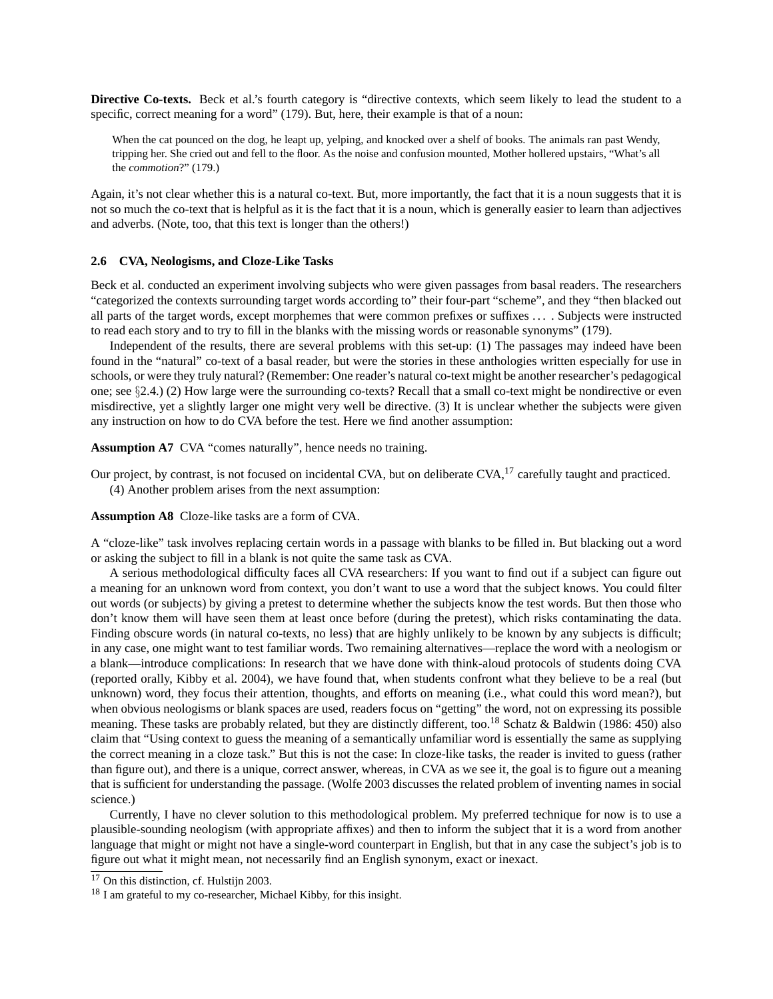**Directive Co-texts.** Beck et al.'s fourth category is "directive contexts, which seem likely to lead the student to a specific, correct meaning for a word" (179). But, here, their example is that of a noun:

When the cat pounced on the dog, he leapt up, yelping, and knocked over a shelf of books. The animals ran past Wendy, tripping her. She cried out and fell to the floor. As the noise and confusion mounted, Mother hollered upstairs, "What's all the *commotion*?" (179.)

Again, it's not clear whether this is a natural co-text. But, more importantly, the fact that it is a noun suggests that it is not so much the co-text that is helpful as it is the fact that it is a noun, which is generally easier to learn than adjectives and adverbs. (Note, too, that this text is longer than the others!)

#### **2.6 CVA, Neologisms, and Cloze-Like Tasks**

Beck et al. conducted an experiment involving subjects who were given passages from basal readers. The researchers "categorized the contexts surrounding target words according to" their four-part "scheme", and they "then blacked out all parts of the target words, except morphemes that were common prefixes or suffixes . . . . Subjects were instructed to read each story and to try to fill in the blanks with the missing words or reasonable synonyms" (179).

Independent of the results, there are several problems with this set-up: (1) The passages may indeed have been found in the "natural" co-text of a basal reader, but were the stories in these anthologies written especially for use in schools, or were they truly natural? (Remember: One reader's natural co-text might be another researcher's pedagogical one; see §2.4.) (2) How large were the surrounding co-texts? Recall that a small co-text might be nondirective or even misdirective, yet a slightly larger one might very well be directive. (3) It is unclear whether the subjects were given any instruction on how to do CVA before the test. Here we find another assumption:

**Assumption A7** CVA "comes naturally", hence needs no training.

Our project, by contrast, is not focused on incidental CVA, but on deliberate CVA,<sup>17</sup> carefully taught and practiced. (4) Another problem arises from the next assumption:

**Assumption A8** Cloze-like tasks are a form of CVA.

A "cloze-like" task involves replacing certain words in a passage with blanks to be filled in. But blacking out a word or asking the subject to fill in a blank is not quite the same task as CVA.

A serious methodological difficulty faces all CVA researchers: If you want to find out if a subject can figure out a meaning for an unknown word from context, you don't want to use a word that the subject knows. You could filter out words (or subjects) by giving a pretest to determine whether the subjects know the test words. But then those who don't know them will have seen them at least once before (during the pretest), which risks contaminating the data. Finding obscure words (in natural co-texts, no less) that are highly unlikely to be known by any subjects is difficult; in any case, one might want to test familiar words. Two remaining alternatives—replace the word with a neologism or a blank—introduce complications: In research that we have done with think-aloud protocols of students doing CVA (reported orally, Kibby et al. 2004), we have found that, when students confront what they believe to be a real (but unknown) word, they focus their attention, thoughts, and efforts on meaning (i.e., what could this word mean?), but when obvious neologisms or blank spaces are used, readers focus on "getting" the word, not on expressing its possible meaning. These tasks are probably related, but they are distinctly different, too.<sup>18</sup> Schatz & Baldwin (1986: 450) also claim that "Using context to guess the meaning of a semantically unfamiliar word is essentially the same as supplying the correct meaning in a cloze task." But this is not the case: In cloze-like tasks, the reader is invited to guess (rather than figure out), and there is a unique, correct answer, whereas, in CVA as we see it, the goal is to figure out a meaning that is sufficient for understanding the passage. (Wolfe 2003 discusses the related problem of inventing names in social science.)

Currently, I have no clever solution to this methodological problem. My preferred technique for now is to use a plausible-sounding neologism (with appropriate affixes) and then to inform the subject that it is a word from another language that might or might not have a single-word counterpart in English, but that in any case the subject's job is to figure out what it might mean, not necessarily find an English synonym, exact or inexact.

 $17$  On this distinction, cf. Hulstijn 2003.

<sup>&</sup>lt;sup>18</sup> I am grateful to my co-researcher, Michael Kibby, for this insight.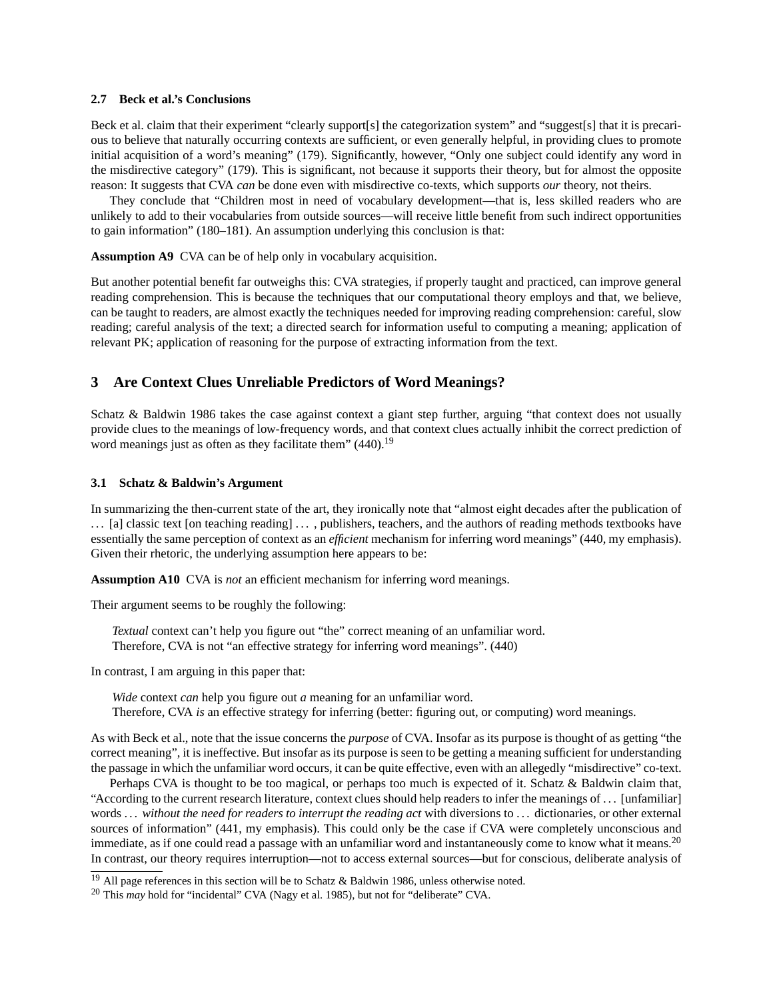#### **2.7 Beck et al.'s Conclusions**

Beck et al. claim that their experiment "clearly support[s] the categorization system" and "suggest[s] that it is precarious to believe that naturally occurring contexts are sufficient, or even generally helpful, in providing clues to promote initial acquisition of a word's meaning" (179). Significantly, however, "Only one subject could identify any word in the misdirective category" (179). This is significant, not because it supports their theory, but for almost the opposite reason: It suggests that CVA *can* be done even with misdirective co-texts, which supports *our* theory, not theirs.

They conclude that "Children most in need of vocabulary development—that is, less skilled readers who are unlikely to add to their vocabularies from outside sources—will receive little benefit from such indirect opportunities to gain information" (180–181). An assumption underlying this conclusion is that:

**Assumption A9** CVA can be of help only in vocabulary acquisition.

But another potential benefit far outweighs this: CVA strategies, if properly taught and practiced, can improve general reading comprehension. This is because the techniques that our computational theory employs and that, we believe, can be taught to readers, are almost exactly the techniques needed for improving reading comprehension: careful, slow reading; careful analysis of the text; a directed search for information useful to computing a meaning; application of relevant PK; application of reasoning for the purpose of extracting information from the text.

## **3 Are Context Clues Unreliable Predictors of Word Meanings?**

Schatz & Baldwin 1986 takes the case against context a giant step further, arguing "that context does not usually provide clues to the meanings of low-frequency words, and that context clues actually inhibit the correct prediction of word meanings just as often as they facilitate them" (440).<sup>19</sup>

#### **3.1 Schatz & Baldwin's Argument**

In summarizing the then-current state of the art, they ironically note that "almost eight decades after the publication of ... [a] classic text [on teaching reading] ..., publishers, teachers, and the authors of reading methods textbooks have essentially the same perception of context as an *efficient* mechanism for inferring word meanings" (440, my emphasis). Given their rhetoric, the underlying assumption here appears to be:

**Assumption A10** CVA is *not* an efficient mechanism for inferring word meanings.

Their argument seems to be roughly the following:

*Textual* context can't help you figure out "the" correct meaning of an unfamiliar word. Therefore, CVA is not "an effective strategy for inferring word meanings". (440)

In contrast, I am arguing in this paper that:

*Wide* context *can* help you figure out *a* meaning for an unfamiliar word. Therefore, CVA *is* an effective strategy for inferring (better: figuring out, or computing) word meanings.

As with Beck et al., note that the issue concerns the *purpose* of CVA. Insofar as its purpose is thought of as getting "the correct meaning", it is ineffective. But insofar as its purpose is seen to be getting a meaning sufficient for understanding the passage in which the unfamiliar word occurs, it can be quite effective, even with an allegedly "misdirective" co-text.

Perhaps CVA is thought to be too magical, or perhaps too much is expected of it. Schatz & Baldwin claim that, "According to the current research literature, context clues should help readers to infer the meanings of . . . [unfamiliar] words . . . *without the need for readers to interrupt the reading act* with diversions to . . . dictionaries, or other external sources of information" (441, my emphasis). This could only be the case if CVA were completely unconscious and immediate, as if one could read a passage with an unfamiliar word and instantaneously come to know what it means.<sup>20</sup> In contrast, our theory requires interruption—not to access external sources—but for conscious, deliberate analysis of

<sup>&</sup>lt;sup>19</sup> All page references in this section will be to Schatz & Baldwin 1986, unless otherwise noted.

<sup>&</sup>lt;sup>20</sup> This *may* hold for "incidental" CVA (Nagy et al. 1985), but not for "deliberate" CVA.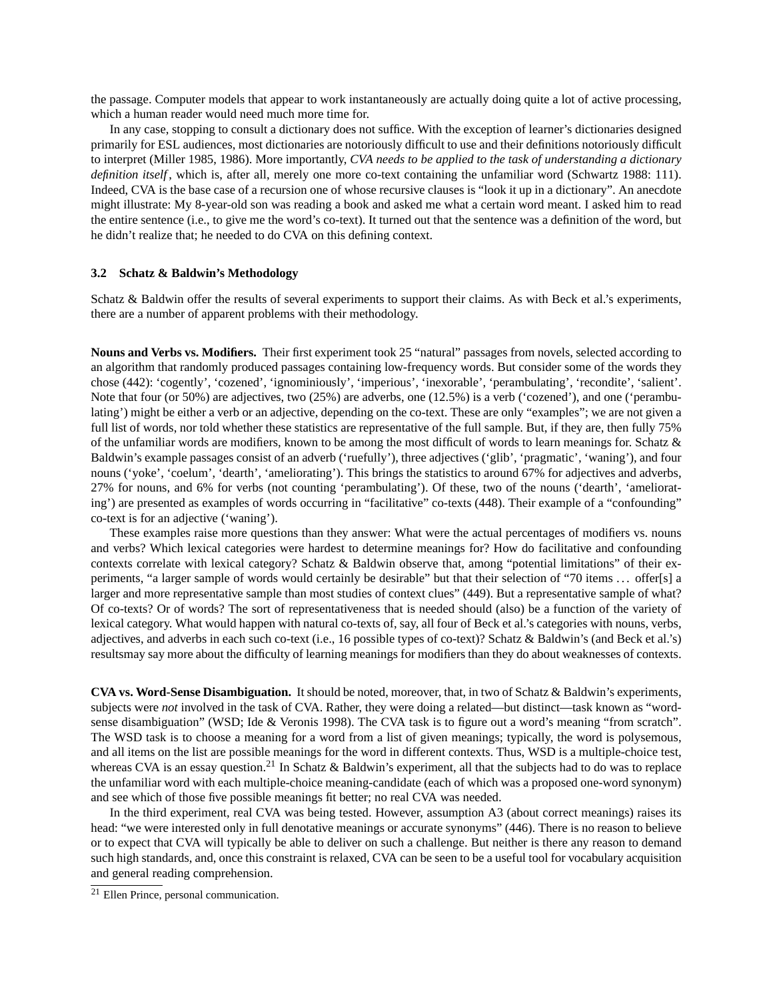the passage. Computer models that appear to work instantaneously are actually doing quite a lot of active processing, which a human reader would need much more time for.

In any case, stopping to consult a dictionary does not suffice. With the exception of learner's dictionaries designed primarily for ESL audiences, most dictionaries are notoriously difficult to use and their definitions notoriously difficult to interpret (Miller 1985, 1986). More importantly, *CVA needs to be applied to the task of understanding a dictionary definition itself*, which is, after all, merely one more co-text containing the unfamiliar word (Schwartz 1988: 111). Indeed, CVA is the base case of a recursion one of whose recursive clauses is "look it up in a dictionary". An anecdote might illustrate: My 8-year-old son was reading a book and asked me what a certain word meant. I asked him to read the entire sentence (i.e., to give me the word's co-text). It turned out that the sentence was a definition of the word, but he didn't realize that; he needed to do CVA on this defining context.

#### **3.2 Schatz & Baldwin's Methodology**

Schatz & Baldwin offer the results of several experiments to support their claims. As with Beck et al.'s experiments, there are a number of apparent problems with their methodology.

**Nouns and Verbs vs. Modifiers.** Their first experiment took 25 "natural" passages from novels, selected according to an algorithm that randomly produced passages containing low-frequency words. But consider some of the words they chose (442): 'cogently', 'cozened', 'ignominiously', 'imperious', 'inexorable', 'perambulating', 'recondite', 'salient'. Note that four (or 50%) are adjectives, two (25%) are adverbs, one (12.5%) is a verb ('cozened'), and one ('perambulating') might be either a verb or an adjective, depending on the co-text. These are only "examples"; we are not given a full list of words, nor told whether these statistics are representative of the full sample. But, if they are, then fully 75% of the unfamiliar words are modifiers, known to be among the most difficult of words to learn meanings for. Schatz & Baldwin's example passages consist of an adverb ('ruefully'), three adjectives ('glib', 'pragmatic', 'waning'), and four nouns ('yoke', 'coelum', 'dearth', 'ameliorating'). This brings the statistics to around 67% for adjectives and adverbs, 27% for nouns, and 6% for verbs (not counting 'perambulating'). Of these, two of the nouns ('dearth', 'ameliorating') are presented as examples of words occurring in "facilitative" co-texts (448). Their example of a "confounding" co-text is for an adjective ('waning').

These examples raise more questions than they answer: What were the actual percentages of modifiers vs. nouns and verbs? Which lexical categories were hardest to determine meanings for? How do facilitative and confounding contexts correlate with lexical category? Schatz & Baldwin observe that, among "potential limitations" of their experiments, "a larger sample of words would certainly be desirable" but that their selection of "70 items . . . offer[s] a larger and more representative sample than most studies of context clues" (449). But a representative sample of what? Of co-texts? Or of words? The sort of representativeness that is needed should (also) be a function of the variety of lexical category. What would happen with natural co-texts of, say, all four of Beck et al.'s categories with nouns, verbs, adjectives, and adverbs in each such co-text (i.e., 16 possible types of co-text)? Schatz & Baldwin's (and Beck et al.'s) resultsmay say more about the difficulty of learning meanings for modifiers than they do about weaknesses of contexts.

**CVA vs. Word-Sense Disambiguation.** It should be noted, moreover, that, in two of Schatz & Baldwin's experiments, subjects were *not* involved in the task of CVA. Rather, they were doing a related—but distinct—task known as "wordsense disambiguation" (WSD; Ide & Veronis 1998). The CVA task is to figure out a word's meaning "from scratch". The WSD task is to choose a meaning for a word from a list of given meanings; typically, the word is polysemous, and all items on the list are possible meanings for the word in different contexts. Thus, WSD is a multiple-choice test, whereas CVA is an essay question.<sup>21</sup> In Schatz & Baldwin's experiment, all that the subjects had to do was to replace the unfamiliar word with each multiple-choice meaning-candidate (each of which was a proposed one-word synonym) and see which of those five possible meanings fit better; no real CVA was needed.

In the third experiment, real CVA was being tested. However, assumption A3 (about correct meanings) raises its head: "we were interested only in full denotative meanings or accurate synonyms" (446). There is no reason to believe or to expect that CVA will typically be able to deliver on such a challenge. But neither is there any reason to demand such high standards, and, once this constraint is relaxed, CVA can be seen to be a useful tool for vocabulary acquisition and general reading comprehension.

<sup>21</sup> Ellen Prince, personal communication.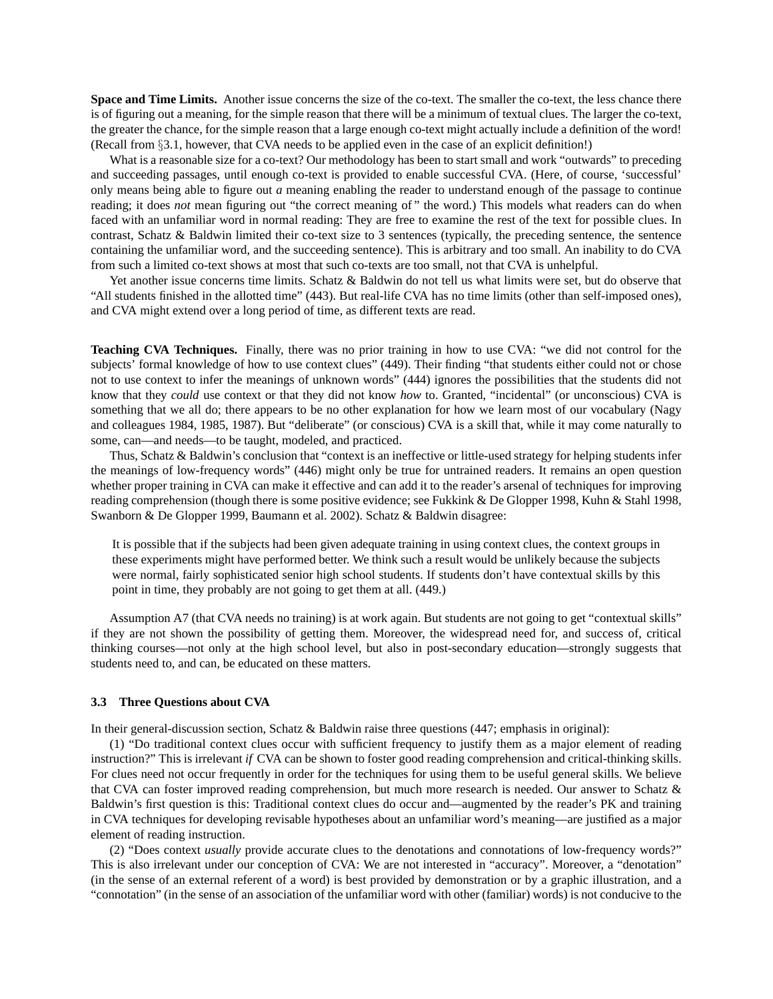**Space and Time Limits.** Another issue concerns the size of the co-text. The smaller the co-text, the less chance there is of figuring out a meaning, for the simple reason that there will be a minimum of textual clues. The larger the co-text, the greater the chance, for the simple reason that a large enough co-text might actually include a definition of the word! (Recall from §3.1, however, that CVA needs to be applied even in the case of an explicit definition!)

What is a reasonable size for a co-text? Our methodology has been to start small and work "outwards" to preceding and succeeding passages, until enough co-text is provided to enable successful CVA. (Here, of course, 'successful' only means being able to figure out *a* meaning enabling the reader to understand enough of the passage to continue reading; it does *not* mean figuring out "the correct meaning of" the word.) This models what readers can do when faced with an unfamiliar word in normal reading: They are free to examine the rest of the text for possible clues. In contrast, Schatz & Baldwin limited their co-text size to 3 sentences (typically, the preceding sentence, the sentence containing the unfamiliar word, and the succeeding sentence). This is arbitrary and too small. An inability to do CVA from such a limited co-text shows at most that such co-texts are too small, not that CVA is unhelpful.

Yet another issue concerns time limits. Schatz & Baldwin do not tell us what limits were set, but do observe that "All students finished in the allotted time" (443). But real-life CVA has no time limits (other than self-imposed ones), and CVA might extend over a long period of time, as different texts are read.

**Teaching CVA Techniques.** Finally, there was no prior training in how to use CVA: "we did not control for the subjects' formal knowledge of how to use context clues" (449). Their finding "that students either could not or chose not to use context to infer the meanings of unknown words" (444) ignores the possibilities that the students did not know that they *could* use context or that they did not know *how* to. Granted, "incidental" (or unconscious) CVA is something that we all do; there appears to be no other explanation for how we learn most of our vocabulary (Nagy and colleagues 1984, 1985, 1987). But "deliberate" (or conscious) CVA is a skill that, while it may come naturally to some, can—and needs—to be taught, modeled, and practiced.

Thus, Schatz & Baldwin's conclusion that "context is an ineffective or little-used strategy for helping students infer the meanings of low-frequency words" (446) might only be true for untrained readers. It remains an open question whether proper training in CVA can make it effective and can add it to the reader's arsenal of techniques for improving reading comprehension (though there is some positive evidence; see Fukkink & De Glopper 1998, Kuhn & Stahl 1998, Swanborn & De Glopper 1999, Baumann et al. 2002). Schatz & Baldwin disagree:

It is possible that if the subjects had been given adequate training in using context clues, the context groups in these experiments might have performed better. We think such a result would be unlikely because the subjects were normal, fairly sophisticated senior high school students. If students don't have contextual skills by this point in time, they probably are not going to get them at all. (449.)

Assumption A7 (that CVA needs no training) is at work again. But students are not going to get "contextual skills" if they are not shown the possibility of getting them. Moreover, the widespread need for, and success of, critical thinking courses—not only at the high school level, but also in post-secondary education—strongly suggests that students need to, and can, be educated on these matters.

#### **3.3 Three Questions about CVA**

In their general-discussion section, Schatz & Baldwin raise three questions (447; emphasis in original):

(1) "Do traditional context clues occur with sufficient frequency to justify them as a major element of reading instruction?" This is irrelevant *if* CVA can be shown to foster good reading comprehension and critical-thinking skills. For clues need not occur frequently in order for the techniques for using them to be useful general skills. We believe that CVA can foster improved reading comprehension, but much more research is needed. Our answer to Schatz & Baldwin's first question is this: Traditional context clues do occur and—augmented by the reader's PK and training in CVA techniques for developing revisable hypotheses about an unfamiliar word's meaning—are justified as a major element of reading instruction.

(2) "Does context *usually* provide accurate clues to the denotations and connotations of low-frequency words?" This is also irrelevant under our conception of CVA: We are not interested in "accuracy". Moreover, a "denotation" (in the sense of an external referent of a word) is best provided by demonstration or by a graphic illustration, and a "connotation" (in the sense of an association of the unfamiliar word with other (familiar) words) is not conducive to the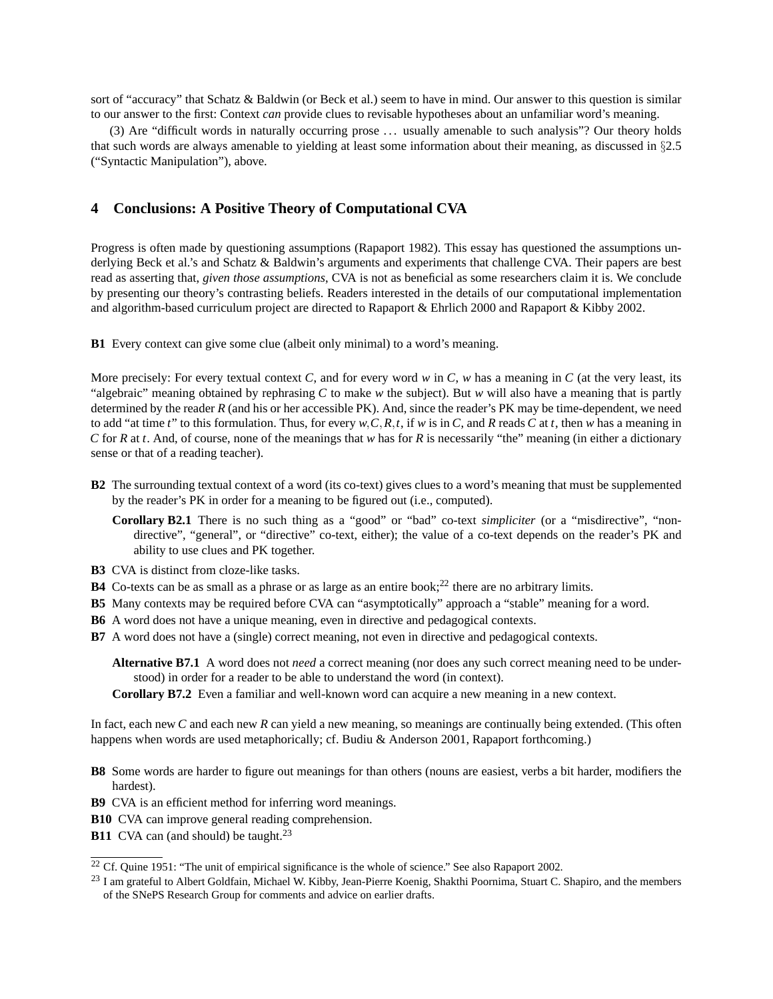sort of "accuracy" that Schatz & Baldwin (or Beck et al.) seem to have in mind. Our answer to this question is similar to our answer to the first: Context *can* provide clues to revisable hypotheses about an unfamiliar word's meaning.

(3) Are "difficult words in naturally occurring prose . . . usually amenable to such analysis"? Our theory holds that such words are always amenable to yielding at least some information about their meaning, as discussed in §2.5 ("Syntactic Manipulation"), above.

## **4 Conclusions: A Positive Theory of Computational CVA**

Progress is often made by questioning assumptions (Rapaport 1982). This essay has questioned the assumptions underlying Beck et al.'s and Schatz & Baldwin's arguments and experiments that challenge CVA. Their papers are best read as asserting that, *given those assumptions*, CVA is not as beneficial as some researchers claim it is. We conclude by presenting our theory's contrasting beliefs. Readers interested in the details of our computational implementation and algorithm-based curriculum project are directed to Rapaport & Ehrlich 2000 and Rapaport & Kibby 2002.

**B1** Every context can give some clue (albeit only minimal) to a word's meaning.

More precisely: For every textual context *C*, and for every word  $w$  in  $C$ ,  $w$  has a meaning in  $C$  (at the very least, its "algebraic" meaning obtained by rephrasing *C* to make *w* the subject). But *w* will also have a meaning that is partly determined by the reader *R* (and his or her accessible PK). And, since the reader's PK may be time-dependent, we need to add "at time *t*" to this formulation. Thus, for every  $w, C, R, t$ , if  $w$  is in  $C$ , and  $R$  reads  $C$  at  $t$ , then  $w$  has a meaning in *C* for *R* at *t*. And, of course, none of the meanings that *w* has for *R* is necessarily "the" meaning (in either a dictionary sense or that of a reading teacher).

- **B2** The surrounding textual context of a word (its co-text) gives clues to a word's meaning that must be supplemented by the reader's PK in order for a meaning to be figured out (i.e., computed).
	- **Corollary B2.1** There is no such thing as a "good" or "bad" co-text *simpliciter* (or a "misdirective", "nondirective", "general", or "directive" co-text, either); the value of a co-text depends on the reader's PK and ability to use clues and PK together.
- **B3** CVA is distinct from cloze-like tasks.
- **B4** Co-texts can be as small as a phrase or as large as an entire book;<sup>22</sup> there are no arbitrary limits.
- **B5** Many contexts may be required before CVA can "asymptotically" approach a "stable" meaning for a word.
- **B6** A word does not have a unique meaning, even in directive and pedagogical contexts.
- **B7** A word does not have a (single) correct meaning, not even in directive and pedagogical contexts.

**Alternative B7.1** A word does not *need* a correct meaning (nor does any such correct meaning need to be understood) in order for a reader to be able to understand the word (in context).

**Corollary B7.2** Even a familiar and well-known word can acquire a new meaning in a new context.

In fact, each new *C* and each new *R* can yield a new meaning, so meanings are continually being extended. (This often happens when words are used metaphorically; cf. Budiu & Anderson 2001, Rapaport forthcoming.)

- **B8** Some words are harder to figure out meanings for than others (nouns are easiest, verbs a bit harder, modifiers the hardest).
- **B9** CVA is an efficient method for inferring word meanings.

**B10** CVA can improve general reading comprehension.

**B11** CVA can (and should) be taught.<sup>23</sup>

<sup>&</sup>lt;sup>22</sup> Cf. Quine 1951: "The unit of empirical significance is the whole of science." See also Rapaport 2002.

<sup>&</sup>lt;sup>23</sup> I am grateful to Albert Goldfain, Michael W. Kibby, Jean-Pierre Koenig, Shakthi Poornima, Stuart C. Shapiro, and the members of the SNePS Research Group for comments and advice on earlier drafts.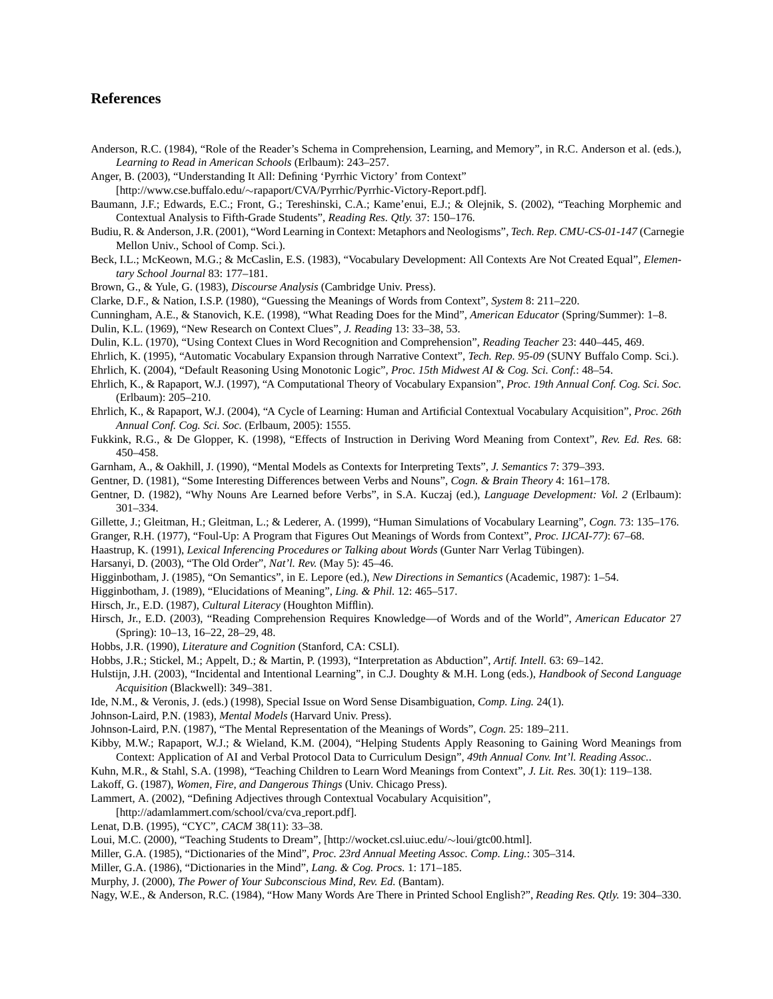## **References**

- Anderson, R.C. (1984), "Role of the Reader's Schema in Comprehension, Learning, and Memory", in R.C. Anderson et al. (eds.), *Learning to Read in American Schools* (Erlbaum): 243–257.
- Anger, B. (2003), "Understanding It All: Defining 'Pyrrhic Victory' from Context"
- [http://www.cse.buffalo.edu/∼rapaport/CVA/Pyrrhic/Pyrrhic-Victory-Report.pdf].
- Baumann, J.F.; Edwards, E.C.; Front, G.; Tereshinski, C.A.; Kame'enui, E.J.; & Olejnik, S. (2002), "Teaching Morphemic and Contextual Analysis to Fifth-Grade Students", *Reading Res. Qtly.* 37: 150–176.
- Budiu, R. & Anderson, J.R. (2001), "Word Learning in Context: Metaphors and Neologisms", *Tech. Rep. CMU-CS-01-147* (Carnegie Mellon Univ., School of Comp. Sci.).
- Beck, I.L.; McKeown, M.G.; & McCaslin, E.S. (1983), "Vocabulary Development: All Contexts Are Not Created Equal", *Elementary School Journal* 83: 177–181.
- Brown, G., & Yule, G. (1983), *Discourse Analysis* (Cambridge Univ. Press).
- Clarke, D.F., & Nation, I.S.P. (1980), "Guessing the Meanings of Words from Context", *System* 8: 211–220.
- Cunningham, A.E., & Stanovich, K.E. (1998), "What Reading Does for the Mind", *American Educator* (Spring/Summer): 1–8.
- Dulin, K.L. (1969), "New Research on Context Clues", *J. Reading* 13: 33–38, 53.
- Dulin, K.L. (1970), "Using Context Clues in Word Recognition and Comprehension", *Reading Teacher* 23: 440–445, 469.
- Ehrlich, K. (1995), "Automatic Vocabulary Expansion through Narrative Context", *Tech. Rep. 95-09* (SUNY Buffalo Comp. Sci.).
- Ehrlich, K. (2004), "Default Reasoning Using Monotonic Logic", *Proc. 15th Midwest AI & Cog. Sci. Conf.*: 48–54.
- Ehrlich, K., & Rapaport, W.J. (1997), "A Computational Theory of Vocabulary Expansion", *Proc. 19th Annual Conf. Cog. Sci. Soc.* (Erlbaum): 205–210.
- Ehrlich, K., & Rapaport, W.J. (2004), "A Cycle of Learning: Human and Artificial Contextual Vocabulary Acquisition", *Proc. 26th Annual Conf. Cog. Sci. Soc.* (Erlbaum, 2005): 1555.
- Fukkink, R.G., & De Glopper, K. (1998), "Effects of Instruction in Deriving Word Meaning from Context", *Rev. Ed. Res.* 68: 450–458.
- Garnham, A., & Oakhill, J. (1990), "Mental Models as Contexts for Interpreting Texts", *J. Semantics* 7: 379–393.
- Gentner, D. (1981), "Some Interesting Differences between Verbs and Nouns", *Cogn. & Brain Theory* 4: 161–178.
- Gentner, D. (1982), "Why Nouns Are Learned before Verbs", in S.A. Kuczaj (ed.), *Language Development: Vol. 2* (Erlbaum): 301–334.
- Gillette, J.; Gleitman, H.; Gleitman, L.; & Lederer, A. (1999), "Human Simulations of Vocabulary Learning", *Cogn.* 73: 135–176.
- Granger, R.H. (1977), "Foul-Up: A Program that Figures Out Meanings of Words from Context", *Proc. IJCAI-77)*: 67–68.
- Haastrup, K. (1991), *Lexical Inferencing Procedures or Talking about Words* (Gunter Narr Verlag Tubingen). ¨
- Harsanyi, D. (2003), "The Old Order", *Nat'l. Rev.* (May 5): 45–46.
- Higginbotham, J. (1985), "On Semantics", in E. Lepore (ed.), *New Directions in Semantics* (Academic, 1987): 1–54.

Higginbotham, J. (1989), "Elucidations of Meaning", *Ling. & Phil.* 12: 465–517.

- Hirsch, Jr., E.D. (1987), *Cultural Literacy* (Houghton Mifflin).
- Hirsch, Jr., E.D. (2003), "Reading Comprehension Requires Knowledge—of Words and of the World", *American Educator* 27 (Spring): 10–13, 16–22, 28–29, 48.
- Hobbs, J.R. (1990), *Literature and Cognition* (Stanford, CA: CSLI).
- Hobbs, J.R.; Stickel, M.; Appelt, D.; & Martin, P. (1993), "Interpretation as Abduction", *Artif. Intell.* 63: 69–142.
- Hulstijn, J.H. (2003), "Incidental and Intentional Learning", in C.J. Doughty & M.H. Long (eds.), *Handbook of Second Language Acquisition* (Blackwell): 349–381.
- Ide, N.M., & Veronis, J. (eds.) (1998), Special Issue on Word Sense Disambiguation, *Comp. Ling.* 24(1).
- Johnson-Laird, P.N. (1983), *Mental Models* (Harvard Univ. Press).
- Johnson-Laird, P.N. (1987), "The Mental Representation of the Meanings of Words", *Cogn.* 25: 189–211.
- Kibby, M.W.; Rapaport, W.J.; & Wieland, K.M. (2004), "Helping Students Apply Reasoning to Gaining Word Meanings from Context: Application of AI and Verbal Protocol Data to Curriculum Design", *49th Annual Conv. Int'l. Reading Assoc.*.
- Kuhn, M.R., & Stahl, S.A. (1998), "Teaching Children to Learn Word Meanings from Context", *J. Lit. Res.* 30(1): 119–138.
- Lakoff, G. (1987), *Women, Fire, and Dangerous Things* (Univ. Chicago Press).
- Lammert, A. (2002), "Defining Adjectives through Contextual Vocabulary Acquisition",
- [http://adamlammert.com/school/cva/cva report.pdf].
- Lenat, D.B. (1995), "CYC", *CACM* 38(11): 33–38.
- Loui, M.C. (2000), "Teaching Students to Dream", [http://wocket.csl.uiuc.edu/∼loui/gtc00.html].
- Miller, G.A. (1985), "Dictionaries of the Mind", *Proc. 23rd Annual Meeting Assoc. Comp. Ling.*: 305–314.
- Miller, G.A. (1986), "Dictionaries in the Mind", *Lang. & Cog. Procs.* 1: 171–185.
- Murphy, J. (2000), *The Power of Your Subconscious Mind, Rev. Ed.* (Bantam).

Nagy, W.E., & Anderson, R.C. (1984), "How Many Words Are There in Printed School English?", *Reading Res. Qtly.* 19: 304–330.